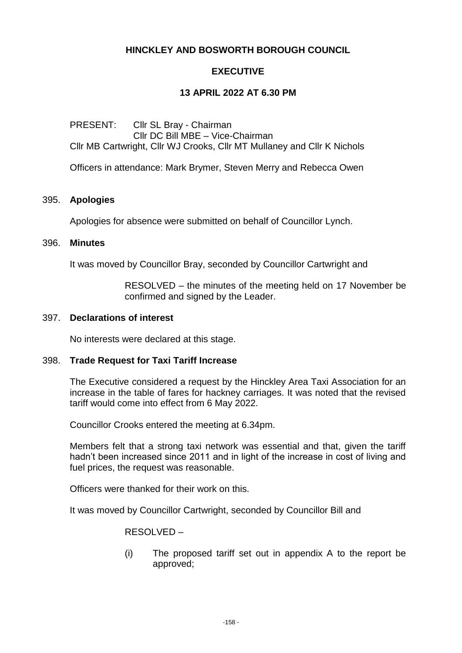# **HINCKLEY AND BOSWORTH BOROUGH COUNCIL**

# **EXECUTIVE**

## **13 APRIL 2022 AT 6.30 PM**

PRESENT: Cllr SL Bray - Chairman Cllr DC Bill MBE – Vice-Chairman Cllr MB Cartwright, Cllr WJ Crooks, Cllr MT Mullaney and Cllr K Nichols

Officers in attendance: Mark Brymer, Steven Merry and Rebecca Owen

### 395. **Apologies**

Apologies for absence were submitted on behalf of Councillor Lynch.

#### 396. **Minutes**

It was moved by Councillor Bray, seconded by Councillor Cartwright and

RESOLVED – the minutes of the meeting held on 17 November be confirmed and signed by the Leader.

### 397. **Declarations of interest**

No interests were declared at this stage.

### 398. **Trade Request for Taxi Tariff Increase**

The Executive considered a request by the Hinckley Area Taxi Association for an increase in the table of fares for hackney carriages. It was noted that the revised tariff would come into effect from 6 May 2022.

Councillor Crooks entered the meeting at 6.34pm.

Members felt that a strong taxi network was essential and that, given the tariff hadn't been increased since 2011 and in light of the increase in cost of living and fuel prices, the request was reasonable.

Officers were thanked for their work on this.

It was moved by Councillor Cartwright, seconded by Councillor Bill and

RESOLVED –

(i) The proposed tariff set out in appendix A to the report be approved;